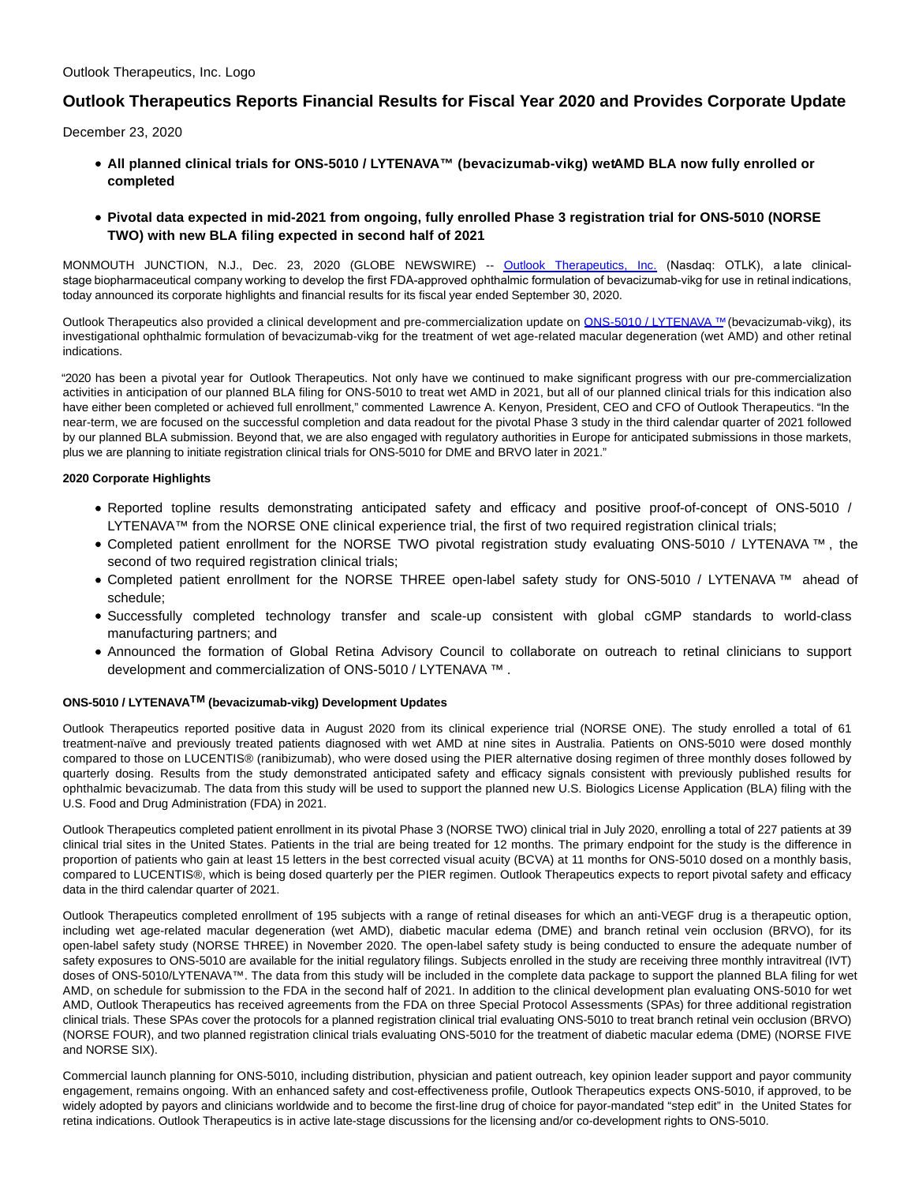# **Outlook Therapeutics Reports Financial Results for Fiscal Year 2020 and Provides Corporate Update**

December 23, 2020

- **All planned clinical trials for ONS-5010 / LYTENAVA™ (bevacizumab-vikg) wet AMD BLA now fully enrolled or completed**
- **Pivotal data expected in mid-2021 from ongoing, fully enrolled Phase 3 registration trial for ONS-5010 (NORSE TWO) with new BLA filing expected in second half of 2021**

MONMOUTH JUNCTION, N.J., Dec. 23, 2020 (GLOBE NEWSWIRE) -- [Outlook Therapeutics, Inc.](https://www.globenewswire.com/Tracker?data=lKtGaDX7bQkOhkGqW9a8y_iEcRwQUFlKgqvGSDCl-Te6tg_JiH8oQtoouFWlXhtoxTo4_NPHovy_5rFLg8rLuj3ZNUAXZ-uORxypdh95pIc=) (Nasdaq: OTLK), a late clinicalstage biopharmaceutical company working to develop the first FDA-approved ophthalmic formulation of bevacizumab-vikg for use in retinal indications, today announced its corporate highlights and financial results for its fiscal year ended September 30, 2020.

Outlook Therapeutics also provided a clinical development and pre-commercialization update on [ONS-5010 / LYTENAVA ™](https://www.globenewswire.com/Tracker?data=EncnNBPFSENSxjgjH-8YJ73-pliNOyUSMX6tgbstrq8zky7oAs1-oDwkfs4spToaYvKXswHIGdCydvOGJtiM3X77Frbb4ZdqkuhzRa78i3vjA6AXnmikXO7P5atTvCwu) (bevacizumab-vikg), its investigational ophthalmic formulation of bevacizumab-vikg for the treatment of wet age-related macular degeneration (wet AMD) and other retinal indications.

"2020 has been a pivotal year for Outlook Therapeutics. Not only have we continued to make significant progress with our pre-commercialization activities in anticipation of our planned BLA filing for ONS-5010 to treat wet AMD in 2021, but all of our planned clinical trials for this indication also have either been completed or achieved full enrollment," commented Lawrence A. Kenyon, President, CEO and CFO of Outlook Therapeutics. "In the near-term, we are focused on the successful completion and data readout for the pivotal Phase 3 study in the third calendar quarter of 2021 followed by our planned BLA submission. Beyond that, we are also engaged with regulatory authorities in Europe for anticipated submissions in those markets, plus we are planning to initiate registration clinical trials for ONS-5010 for DME and BRVO later in 2021."

## **2020 Corporate Highlights**

- Reported topline results demonstrating anticipated safety and efficacy and positive proof-of-concept of ONS-5010 / LYTENAVA™ from the NORSE ONE clinical experience trial, the first of two required registration clinical trials;
- Completed patient enrollment for the NORSE TWO pivotal registration study evaluating ONS-5010 / LYTENAVA ™ , the second of two required registration clinical trials;
- Completed patient enrollment for the NORSE THREE open-label safety study for ONS-5010 / LYTENAVA ™ ahead of schedule;
- Successfully completed technology transfer and scale-up consistent with global cGMP standards to world-class manufacturing partners; and
- Announced the formation of Global Retina Advisory Council to collaborate on outreach to retinal clinicians to support development and commercialization of ONS-5010 / LYTENAVA ™ .

## **ONS-5010 / LYTENAVATM (bevacizumab-vikg) Development Updates**

Outlook Therapeutics reported positive data in August 2020 from its clinical experience trial (NORSE ONE). The study enrolled a total of 61 treatment-naïve and previously treated patients diagnosed with wet AMD at nine sites in Australia. Patients on ONS-5010 were dosed monthly compared to those on LUCENTIS® (ranibizumab), who were dosed using the PIER alternative dosing regimen of three monthly doses followed by quarterly dosing. Results from the study demonstrated anticipated safety and efficacy signals consistent with previously published results for ophthalmic bevacizumab. The data from this study will be used to support the planned new U.S. Biologics License Application (BLA) filing with the U.S. Food and Drug Administration (FDA) in 2021.

Outlook Therapeutics completed patient enrollment in its pivotal Phase 3 (NORSE TWO) clinical trial in July 2020, enrolling a total of 227 patients at 39 clinical trial sites in the United States. Patients in the trial are being treated for 12 months. The primary endpoint for the study is the difference in proportion of patients who gain at least 15 letters in the best corrected visual acuity (BCVA) at 11 months for ONS-5010 dosed on a monthly basis, compared to LUCENTIS®, which is being dosed quarterly per the PIER regimen. Outlook Therapeutics expects to report pivotal safety and efficacy data in the third calendar quarter of 2021.

Outlook Therapeutics completed enrollment of 195 subjects with a range of retinal diseases for which an anti-VEGF drug is a therapeutic option, including wet age-related macular degeneration (wet AMD), diabetic macular edema (DME) and branch retinal vein occlusion (BRVO), for its open-label safety study (NORSE THREE) in November 2020. The open-label safety study is being conducted to ensure the adequate number of safety exposures to ONS-5010 are available for the initial regulatory filings. Subjects enrolled in the study are receiving three monthly intravitreal (IVT) doses of ONS-5010/LYTENAVA™. The data from this study will be included in the complete data package to support the planned BLA filing for wet AMD, on schedule for submission to the FDA in the second half of 2021. In addition to the clinical development plan evaluating ONS-5010 for wet AMD, Outlook Therapeutics has received agreements from the FDA on three Special Protocol Assessments (SPAs) for three additional registration clinical trials. These SPAs cover the protocols for a planned registration clinical trial evaluating ONS-5010 to treat branch retinal vein occlusion (BRVO) (NORSE FOUR), and two planned registration clinical trials evaluating ONS-5010 for the treatment of diabetic macular edema (DME) (NORSE FIVE and NORSE SIX).

Commercial launch planning for ONS-5010, including distribution, physician and patient outreach, key opinion leader support and payor community engagement, remains ongoing. With an enhanced safety and cost-effectiveness profile, Outlook Therapeutics expects ONS-5010, if approved, to be widely adopted by payors and clinicians worldwide and to become the first-line drug of choice for payor-mandated "step edit" in the United States for retina indications. Outlook Therapeutics is in active late-stage discussions for the licensing and/or co-development rights to ONS-5010.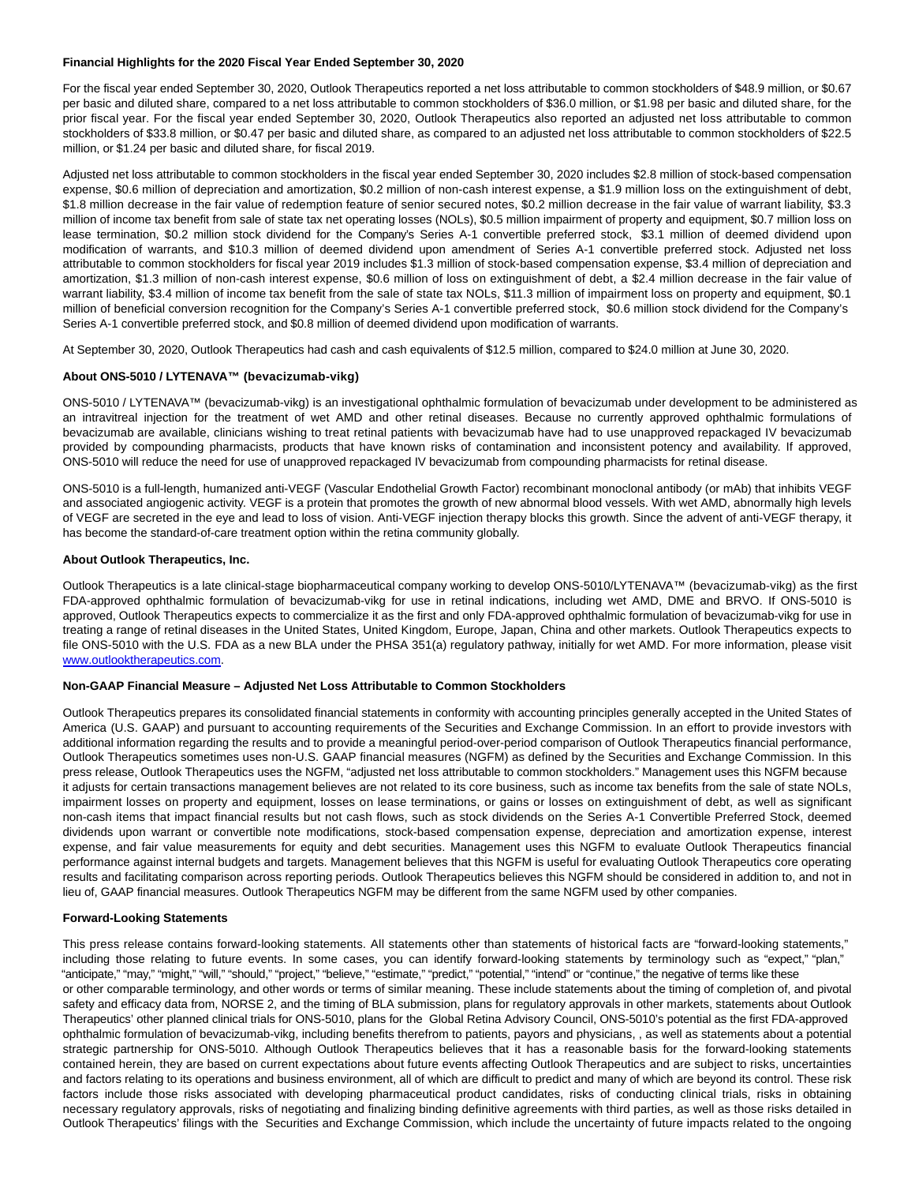## **Financial Highlights for the 2020 Fiscal Year Ended September 30, 2020**

For the fiscal year ended September 30, 2020, Outlook Therapeutics reported a net loss attributable to common stockholders of \$48.9 million, or \$0.67 per basic and diluted share, compared to a net loss attributable to common stockholders of \$36.0 million, or \$1.98 per basic and diluted share, for the prior fiscal year. For the fiscal year ended September 30, 2020, Outlook Therapeutics also reported an adjusted net loss attributable to common stockholders of \$33.8 million, or \$0.47 per basic and diluted share, as compared to an adjusted net loss attributable to common stockholders of \$22.5 million, or \$1.24 per basic and diluted share, for fiscal 2019.

Adjusted net loss attributable to common stockholders in the fiscal year ended September 30, 2020 includes \$2.8 million of stock-based compensation expense, \$0.6 million of depreciation and amortization, \$0.2 million of non-cash interest expense, a \$1.9 million loss on the extinguishment of debt, \$1.8 million decrease in the fair value of redemption feature of senior secured notes, \$0.2 million decrease in the fair value of warrant liability, \$3.3 million of income tax benefit from sale of state tax net operating losses (NOLs), \$0.5 million impairment of property and equipment, \$0.7 million loss on lease termination, \$0.2 million stock dividend for the Company's Series A-1 convertible preferred stock, \$3.1 million of deemed dividend upon modification of warrants, and \$10.3 million of deemed dividend upon amendment of Series A-1 convertible preferred stock. Adjusted net loss attributable to common stockholders for fiscal year 2019 includes \$1.3 million of stock-based compensation expense, \$3.4 million of depreciation and amortization, \$1.3 million of non-cash interest expense, \$0.6 million of loss on extinguishment of debt, a \$2.4 million decrease in the fair value of warrant liability, \$3.4 million of income tax benefit from the sale of state tax NOLs, \$11.3 million of impairment loss on property and equipment, \$0.1 million of beneficial conversion recognition for the Company's Series A-1 convertible preferred stock, \$0.6 million stock dividend for the Company's Series A-1 convertible preferred stock, and \$0.8 million of deemed dividend upon modification of warrants.

At September 30, 2020, Outlook Therapeutics had cash and cash equivalents of \$12.5 million, compared to \$24.0 million at June 30, 2020.

#### **About ONS-5010 / LYTENAVA™ (bevacizumab-vikg)**

ONS-5010 / LYTENAVA™ (bevacizumab-vikg) is an investigational ophthalmic formulation of bevacizumab under development to be administered as an intravitreal injection for the treatment of wet AMD and other retinal diseases. Because no currently approved ophthalmic formulations of bevacizumab are available, clinicians wishing to treat retinal patients with bevacizumab have had to use unapproved repackaged IV bevacizumab provided by compounding pharmacists, products that have known risks of contamination and inconsistent potency and availability. If approved, ONS-5010 will reduce the need for use of unapproved repackaged IV bevacizumab from compounding pharmacists for retinal disease.

ONS-5010 is a full-length, humanized anti-VEGF (Vascular Endothelial Growth Factor) recombinant monoclonal antibody (or mAb) that inhibits VEGF and associated angiogenic activity. VEGF is a protein that promotes the growth of new abnormal blood vessels. With wet AMD, abnormally high levels of VEGF are secreted in the eye and lead to loss of vision. Anti-VEGF injection therapy blocks this growth. Since the advent of anti-VEGF therapy, it has become the standard-of-care treatment option within the retina community globally.

#### **About Outlook Therapeutics, Inc.**

Outlook Therapeutics is a late clinical-stage biopharmaceutical company working to develop ONS-5010/LYTENAVA™ (bevacizumab-vikg) as the first FDA-approved ophthalmic formulation of bevacizumab-vikg for use in retinal indications, including wet AMD, DME and BRVO. If ONS-5010 is approved, Outlook Therapeutics expects to commercialize it as the first and only FDA-approved ophthalmic formulation of bevacizumab-vikg for use in treating a range of retinal diseases in the United States, United Kingdom, Europe, Japan, China and other markets. Outlook Therapeutics expects to file ONS-5010 with the U.S. FDA as a new BLA under the PHSA 351(a) regulatory pathway, initially for wet AMD. For more information, please visit [www.outlooktherapeutics.com.](https://www.globenewswire.com/Tracker?data=SPv08MaGyfefbCiQaNupt-rdMeGgXF6Bt8RaFUiNy44WhWS9BDEygZDVHM5Xhd4PVbW4mkLkSTvC_ARRBOaYTf0vk-qeK16jZkqulXV5-Nf9oTG-Ti9jyIuT1FFoiJvJ) 

#### **Non-GAAP Financial Measure – Adjusted Net Loss Attributable to Common Stockholders**

Outlook Therapeutics prepares its consolidated financial statements in conformity with accounting principles generally accepted in the United States of America (U.S. GAAP) and pursuant to accounting requirements of the Securities and Exchange Commission. In an effort to provide investors with additional information regarding the results and to provide a meaningful period-over-period comparison of Outlook Therapeutics financial performance, Outlook Therapeutics sometimes uses non-U.S. GAAP financial measures (NGFM) as defined by the Securities and Exchange Commission. In this press release, Outlook Therapeutics uses the NGFM, "adjusted net loss attributable to common stockholders." Management uses this NGFM because it adjusts for certain transactions management believes are not related to its core business, such as income tax benefits from the sale of state NOLs, impairment losses on property and equipment, losses on lease terminations, or gains or losses on extinguishment of debt, as well as significant non-cash items that impact financial results but not cash flows, such as stock dividends on the Series A-1 Convertible Preferred Stock, deemed dividends upon warrant or convertible note modifications, stock-based compensation expense, depreciation and amortization expense, interest expense, and fair value measurements for equity and debt securities. Management uses this NGFM to evaluate Outlook Therapeutics financial performance against internal budgets and targets. Management believes that this NGFM is useful for evaluating Outlook Therapeutics core operating results and facilitating comparison across reporting periods. Outlook Therapeutics believes this NGFM should be considered in addition to, and not in lieu of, GAAP financial measures. Outlook Therapeutics NGFM may be different from the same NGFM used by other companies.

#### **Forward-Looking Statements**

This press release contains forward-looking statements. All statements other than statements of historical facts are "forward-looking statements," including those relating to future events. In some cases, you can identify forward-looking statements by terminology such as "expect," "plan," "anticipate," "may," "might," "will," "should," "project," "believe," "estimate," "predict," "potential," "intend" or "continue," the negative of terms like these or other comparable terminology, and other words or terms of similar meaning. These include statements about the timing of completion of, and pivotal safety and efficacy data from, NORSE 2, and the timing of BLA submission, plans for regulatory approvals in other markets, statements about Outlook Therapeutics' other planned clinical trials for ONS-5010, plans for the Global Retina Advisory Council, ONS-5010's potential as the first FDA-approved ophthalmic formulation of bevacizumab-vikg, including benefits therefrom to patients, payors and physicians, , as well as statements about a potential strategic partnership for ONS-5010. Although Outlook Therapeutics believes that it has a reasonable basis for the forward-looking statements contained herein, they are based on current expectations about future events affecting Outlook Therapeutics and are subject to risks, uncertainties and factors relating to its operations and business environment, all of which are difficult to predict and many of which are beyond its control. These risk factors include those risks associated with developing pharmaceutical product candidates, risks of conducting clinical trials, risks in obtaining necessary regulatory approvals, risks of negotiating and finalizing binding definitive agreements with third parties, as well as those risks detailed in Outlook Therapeutics' filings with the Securities and Exchange Commission, which include the uncertainty of future impacts related to the ongoing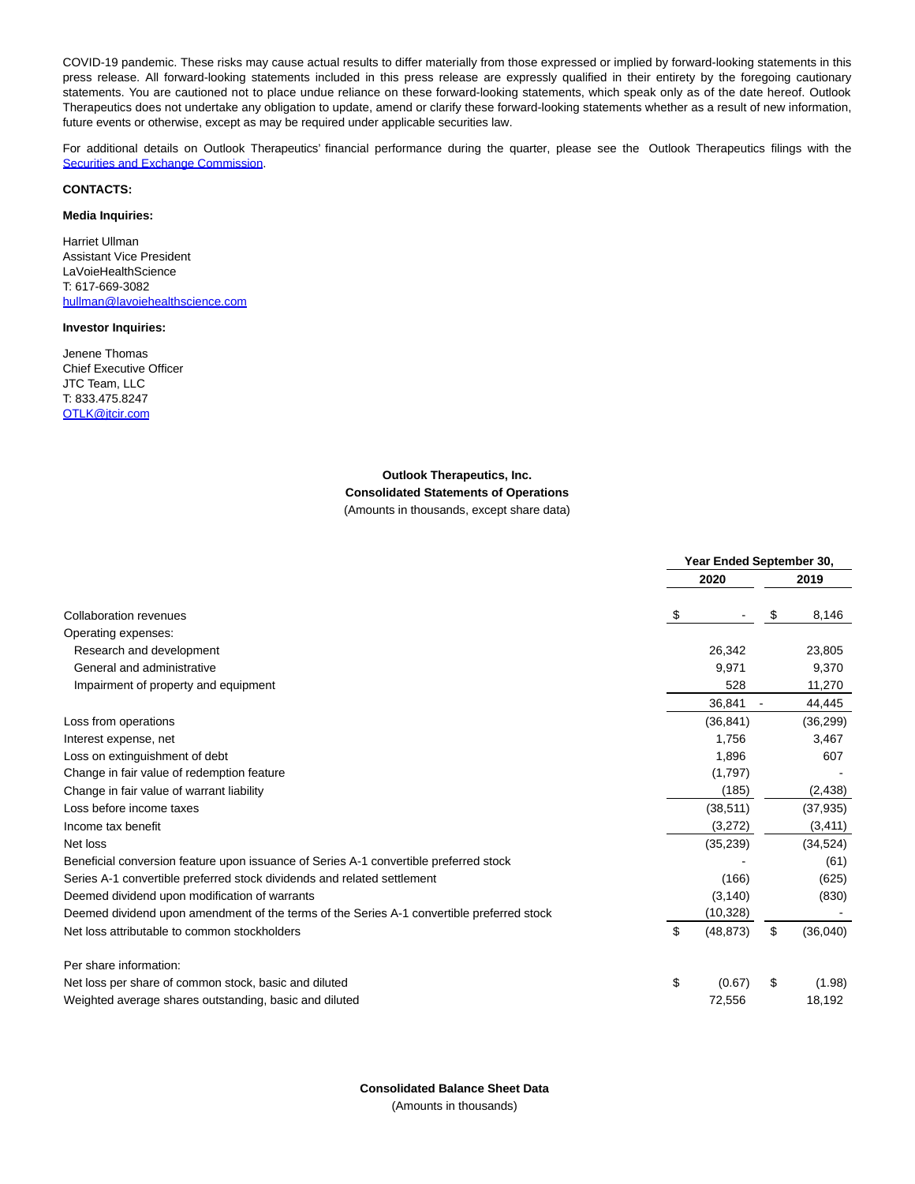COVID-19 pandemic. These risks may cause actual results to differ materially from those expressed or implied by forward-looking statements in this press release. All forward-looking statements included in this press release are expressly qualified in their entirety by the foregoing cautionary statements. You are cautioned not to place undue reliance on these forward-looking statements, which speak only as of the date hereof. Outlook Therapeutics does not undertake any obligation to update, amend or clarify these forward-looking statements whether as a result of new information, future events or otherwise, except as may be required under applicable securities law.

For additional details on Outlook Therapeutics' financial performance during the quarter, please see the Outlook Therapeutics filings with the [Securities and Exchange Commission.](https://www.globenewswire.com/Tracker?data=LaES8PCPGWvw74uTdTFi7mpmT-Qij-nGBHubdnNcLdzMm6sE1J_hfAtS3RC9GrLmUW5ZKJjRr-w5WZkVlyqcBxyXgGY2vd_BEtyHBzXSIh8OdC2uTPAZztfWyrOOJV1FTq74S7KR1HH7rsbY3EnITxa3htnLkalGu7XapBELN2JCSjF3LA0JQaf1EONdn1-khhqjss5DWq2BuTHen5aIag==)

## **CONTACTS:**

## **Media Inquiries:**

Harriet Ullman Assistant Vice President **LaVoieHealthScience** T: 617-669-3082 [hullman@lavoiehealthscience.com](https://www.globenewswire.com/Tracker?data=pXW_k9ZqbXMsc696WCJsiSGlEBDBZju85XTg0zmc_W6ZJP4ueDh_ymTOLHupBemD8zS5DHXTJOiAmMmi7CffCiZbP1V9JcpNEvWIvYkW_p4iXAVXIlkFG4D7FA2ZCTP2)

### **Investor Inquiries:**

Jenene Thomas Chief Executive Officer JTC Team, LLC T: 833.475.8247 [OTLK@jtcir.com](https://www.globenewswire.com/Tracker?data=jtJRXDqY9zPSd6NO9xfyRTsAWeHpUV5R724eXd7YrecIMdAsClmKz4sc2U5dB9-VwiY8Nld-CD1TPIbRKOgUHA==)

# **Outlook Therapeutics, Inc. Consolidated Statements of Operations**

(Amounts in thousands, except share data)

|                                                                                           | Year Ended September 30, |           |    |           |  |  |
|-------------------------------------------------------------------------------------------|--------------------------|-----------|----|-----------|--|--|
|                                                                                           |                          | 2020      |    | 2019      |  |  |
| Collaboration revenues                                                                    | \$                       |           | S  | 8,146     |  |  |
| Operating expenses:                                                                       |                          |           |    |           |  |  |
| Research and development                                                                  |                          | 26,342    |    | 23,805    |  |  |
| General and administrative                                                                |                          | 9,971     |    | 9,370     |  |  |
| Impairment of property and equipment                                                      |                          | 528       |    |           |  |  |
|                                                                                           |                          | 36,841    |    | 44,445    |  |  |
| Loss from operations                                                                      |                          | (36, 841) |    | (36, 299) |  |  |
| Interest expense, net                                                                     |                          | 1,756     |    | 3.467     |  |  |
| Loss on extinguishment of debt                                                            |                          | 1,896     |    | 607       |  |  |
| Change in fair value of redemption feature                                                |                          | (1,797)   |    |           |  |  |
| Change in fair value of warrant liability                                                 |                          | (185)     |    | (2, 438)  |  |  |
| Loss before income taxes                                                                  |                          | (38, 511) |    | (37, 935) |  |  |
| Income tax benefit                                                                        |                          | (3,272)   |    | (3, 411)  |  |  |
| Net loss                                                                                  |                          | (35, 239) |    | (34, 524) |  |  |
| Beneficial conversion feature upon issuance of Series A-1 convertible preferred stock     |                          |           |    | (61)      |  |  |
| Series A-1 convertible preferred stock dividends and related settlement                   | (166)                    |           |    | (625)     |  |  |
| Deemed dividend upon modification of warrants                                             |                          | (3, 140)  |    | (830)     |  |  |
| Deemed dividend upon amendment of the terms of the Series A-1 convertible preferred stock |                          | (10, 328) |    |           |  |  |
| Net loss attributable to common stockholders                                              | \$                       | (48, 873) | \$ | (36,040)  |  |  |
| Per share information:                                                                    |                          |           |    |           |  |  |
| Net loss per share of common stock, basic and diluted                                     | \$                       | (0.67)    | S  | (1.98)    |  |  |
| Weighted average shares outstanding, basic and diluted                                    |                          | 72,556    |    | 18,192    |  |  |

**Consolidated Balance Sheet Data** (Amounts in thousands)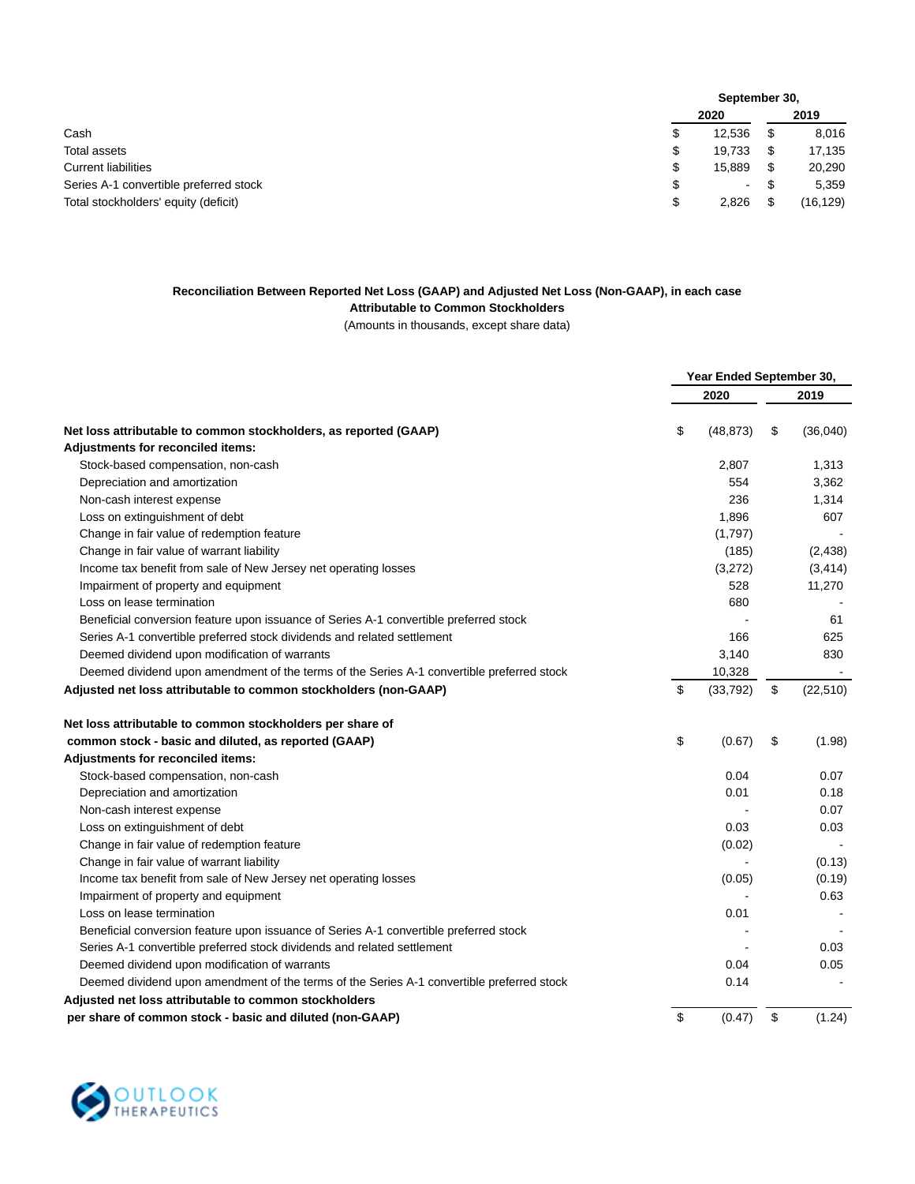|                                        |      | September 30, |      |           |  |
|----------------------------------------|------|---------------|------|-----------|--|
|                                        | 2020 |               | 2019 |           |  |
| Cash                                   | \$   | 12,536        |      | 8,016     |  |
| Total assets                           | \$   | 19.733        |      | 17,135    |  |
| <b>Current liabilities</b>             | \$   | 15.889        |      | 20,290    |  |
| Series A-1 convertible preferred stock | \$   | $\sim$        |      | 5,359     |  |
| Total stockholders' equity (deficit)   | \$   | 2,826         |      | (16, 129) |  |

# **Reconciliation Between Reported Net Loss (GAAP) and Adjusted Net Loss (Non-GAAP), in each case**

**Attributable to Common Stockholders**

(Amounts in thousands, except share data)

|                                                                                           | Year Ended September 30, |           |    |                |
|-------------------------------------------------------------------------------------------|--------------------------|-----------|----|----------------|
|                                                                                           |                          | 2020      |    | 2019           |
| Net loss attributable to common stockholders, as reported (GAAP)                          | \$                       | (48, 873) | \$ | (36,040)       |
| Adjustments for reconciled items:                                                         |                          |           |    |                |
| Stock-based compensation, non-cash                                                        |                          | 2,807     |    | 1,313          |
| Depreciation and amortization                                                             |                          | 554       |    | 3,362          |
| Non-cash interest expense                                                                 |                          | 236       |    | 1,314          |
| Loss on extinguishment of debt                                                            |                          | 1,896     |    | 607            |
| Change in fair value of redemption feature                                                |                          | (1,797)   |    |                |
| Change in fair value of warrant liability                                                 |                          | (185)     |    | (2, 438)       |
| Income tax benefit from sale of New Jersey net operating losses                           |                          | (3,272)   |    | (3, 414)       |
| Impairment of property and equipment                                                      |                          | 528       |    | 11,270         |
| Loss on lease termination                                                                 |                          | 680       |    |                |
| Beneficial conversion feature upon issuance of Series A-1 convertible preferred stock     |                          |           |    | 61             |
| Series A-1 convertible preferred stock dividends and related settlement                   |                          | 166       |    | 625            |
| Deemed dividend upon modification of warrants                                             |                          | 3,140     |    | 830            |
| Deemed dividend upon amendment of the terms of the Series A-1 convertible preferred stock |                          | 10,328    |    | $\blacksquare$ |
| Adjusted net loss attributable to common stockholders (non-GAAP)                          | \$                       | (33, 792) | \$ | (22, 510)      |
| Net loss attributable to common stockholders per share of                                 |                          |           |    |                |
| common stock - basic and diluted, as reported (GAAP)                                      | \$                       | (0.67)    | \$ | (1.98)         |
| Adjustments for reconciled items:                                                         |                          |           |    |                |
| Stock-based compensation, non-cash                                                        |                          | 0.04      |    | 0.07           |
| Depreciation and amortization                                                             |                          | 0.01      |    | 0.18           |
| Non-cash interest expense                                                                 |                          |           |    | 0.07           |
| Loss on extinguishment of debt                                                            |                          | 0.03      |    | 0.03           |
| Change in fair value of redemption feature                                                |                          | (0.02)    |    |                |
| Change in fair value of warrant liability                                                 |                          |           |    | (0.13)         |
| Income tax benefit from sale of New Jersey net operating losses                           |                          | (0.05)    |    | (0.19)         |
| Impairment of property and equipment                                                      |                          |           |    | 0.63           |
| Loss on lease termination                                                                 |                          | 0.01      |    |                |
| Beneficial conversion feature upon issuance of Series A-1 convertible preferred stock     |                          |           |    |                |
| Series A-1 convertible preferred stock dividends and related settlement                   |                          |           |    | 0.03           |
| Deemed dividend upon modification of warrants                                             |                          | 0.04      |    | 0.05           |
| Deemed dividend upon amendment of the terms of the Series A-1 convertible preferred stock |                          | 0.14      |    |                |
| Adjusted net loss attributable to common stockholders                                     |                          |           |    |                |
| per share of common stock - basic and diluted (non-GAAP)                                  | \$                       | (0.47)    | \$ | (1.24)         |